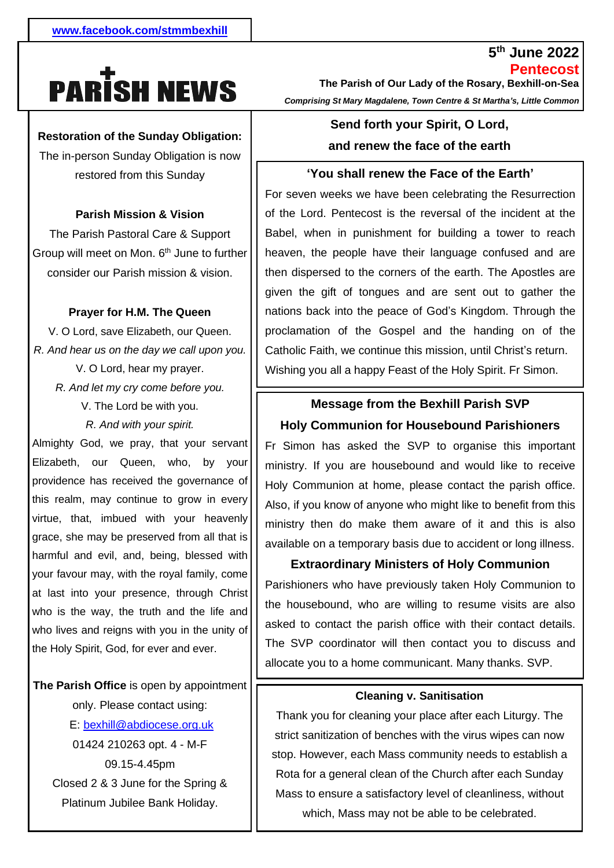# **PARISH NEWS**

#### **Restoration of the Sunday Obligation:**

The in-person Sunday Obligation is now restored from this Sunday

#### **Parish Mission & Vision**

Group will meet on Mon. 6<sup>th</sup> June to further  consider our Parish mission & vision. The Parish Pastoral Care & Support

# - **Prayer for H.M. The Queen**

. *R. And hear us on the day we call upon you.* V. O Lord, save Elizabeth, our Queen. V. O Lord, hear my prayer. *R. And let my cry come before you.* V. The Lord be with you. *R. And with your spirit.*

Almighty God, we pray, that your servant Elizabeth, our Queen, who, by your providence has received the governance of this realm, may continue to grow in every virtue, that, imbued with your heavenly grace, she may be preserved from all that is harmful and evil, and, being, blessed with your favour may, with the royal family, come at last into your presence, through Christ who is the way, the truth and the life and who lives and reigns with you in the unity of the Holy Spirit, God, for ever and ever.

**The Parish Office** is open by appointment only. Please contact using: E: [bexhill@abdiocese.org.uk](mailto:bexhill@abdiocese.org.uk) 01424 210263 opt. 4 - M-F 09.15-4.45pm Closed 2 & 3 June for the Spring & Platinum Jubilee Bank Holiday.

**Pentecost The Parish of Our Lady of the Rosary, Bexhill-on-Sea**  *Comprising St Mary Magdalene, Town Centre & St Martha's, Little Common*

**5 th June 2022**

# **Send forth your Spirit, O Lord, and renew the face of the earth**

#### **'You shall renew the Face of the Earth'**

For seven weeks we have been celebrating the Resurrection of the Lord. Pentecost is the reversal of the incident at the Babel, when in punishment for building a tower to reach heaven, the people have their language confused and are then dispersed to the corners of the earth. The Apostles are given the gift of tongues and are sent out to gather the nations back into the peace of God's Kingdom. Through the proclamation of the Gospel and the handing on of the Catholic Faith, we continue this mission, until Christ's return. Wishing you all a happy Feast of the Holy Spirit. Fr Simon.

## **Message from the Bexhill Parish SVP Holy Communion for Housebound Parishioners**

*.* Holy Communion at home, please contact the parish office. Fr Simon has asked the SVP to organise this important ministry. If you are housebound and would like to receive Also, if you know of anyone who might like to benefit from this ministry then do make them aware of it and this is also available on a temporary basis due to accident or long illness.

#### **Extraordinary Ministers of Holy Communion**

Parishioners who have previously taken Holy Communion to the housebound, who are willing to resume visits are also asked to contact the parish office with their contact details. The SVP coordinator will then contact you to discuss and allocate you to a home communicant. Many thanks. SVP.

#### **Cleaning v. Sanitisation**

Thank you for cleaning your place after each Liturgy. The strict sanitization of benches with the virus wipes can now stop. However, each Mass community needs to establish a Rota for a general clean of the Church after each Sunday Mass to ensure a satisfactory level of cleanliness, without which, Mass may not be able to be celebrated.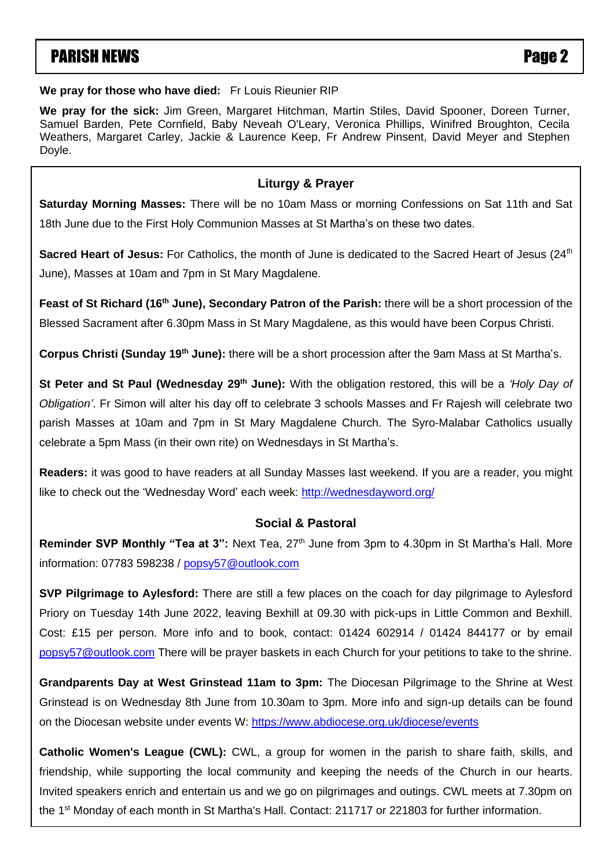# PARISH NEWS **PARISH NEWS**

**We pray for those who have died:** Fr Louis Rieunier RIP

**We pray for the sick:** Jim Green, Margaret Hitchman, Martin Stiles, David Spooner, Doreen Turner, Samuel Barden, Pete Cornfield, Baby Neveah O'Leary, Veronica Phillips, Winifred Broughton, Cecila Weathers, Margaret Carley, Jackie & Laurence Keep, Fr Andrew Pinsent, David Meyer and Stephen Doyle.

#### **Liturgy & Prayer**

**Saturday Morning Masses:** There will be no 10am Mass or morning Confessions on Sat 11th and Sat 18th June due to the First Holy Communion Masses at St Martha's on these two dates.

**Sacred Heart of Jesus:** For Catholics, the month of June is dedicated to the Sacred Heart of Jesus (24<sup>th</sup>) June), Masses at 10am and 7pm in St Mary Magdalene.

Feast of St Richard (16<sup>th</sup> June), Secondary Patron of the Parish: there will be a short procession of the Blessed Sacrament after 6.30pm Mass in St Mary Magdalene, as this would have been Corpus Christi. Dewhurst, Joy & Eric Dowde, Primula Dufton, , Pat Finn, Sean Fisher, Paul Foster,Yvonne Gibbs, Lorraine Gill, Ann

Griffith, Chris Halligan, Gabrielle Harris, Fred Haycroft, Joan Hooker, Theresa Hussain, Sheila Hyde, Abraham Jacob, Corpus Christi (Sunday 19<sup>th</sup> June): there will be a short procession after the 9am Mass at St Martha's.

` parish Masses at 10am and 7pm in St Mary Magdalene Church. The Syro-Malabar Catholics usually St Peter and St Paul (Wednesday 29<sup>th</sup> June): With the obligation restored, this will be a 'Holy Day of Rosemary Skyling, Jean Southern, David Spooner, Benita Stevens, Vera Stevens, Brian Sullivan, Margaret Taylor, Nora Obligation'. Fr Simon will alter his day off to celebrate 3 schools Masses and Fr Rajesh will celebrate two celebrate a 5pm Mass (in their own rite) on Wednesdays in St Martha's.

**Readers:** it was good to have readers at all Sunday Masses last weekend. If you are a reader, you might like to check out the 'Wednesday Word' each week:<http://wednesdayword.org/>

#### **Social & Pastoral**

**Reminder SVP Monthly "Tea at 3":** Next Tea, 27<sup>th</sup> June from 3pm to 4.30pm in St Martha's Hall. More information: 07783 598238 / [popsy57@outlook.com](mailto:popsy57@outlook.com)

**SVP Pilgrimage to Aylesford:** There are still a few places on the coach for day pilgrimage to Aylesford Priory on Tuesday 14th June 2022, leaving Bexhill at 09.30 with pick-ups in Little Common and Bexhill. Cost: £15 per person. More info and to book, contact: 01424 602914 / 01424 844177 or by email [popsy57@outlook.com](mailto:popsy57@outlook.com) There will be prayer baskets in each Church for your petitions to take to the shrine.

**Grandparents Day at West Grinstead 11am to 3pm:** The Diocesan Pilgrimage to the Shrine at West Grinstead is on Wednesday 8th June from 10.30am to 3pm. More info and sign-up details can be found on the Diocesan website under events W:<https://www.abdiocese.org.uk/diocese/events>

**Catholic Women's League (CWL):** CWL, a group for women in the parish to share faith, skills, and friendship, while supporting the local community and keeping the needs of the Church in our hearts. Invited speakers enrich and entertain us and we go on pilgrimages and outings. CWL meets at 7.30pm on the 1<sup>st</sup> Monday of each month in St Martha's Hall. Contact: 211717 or 221803 for further information.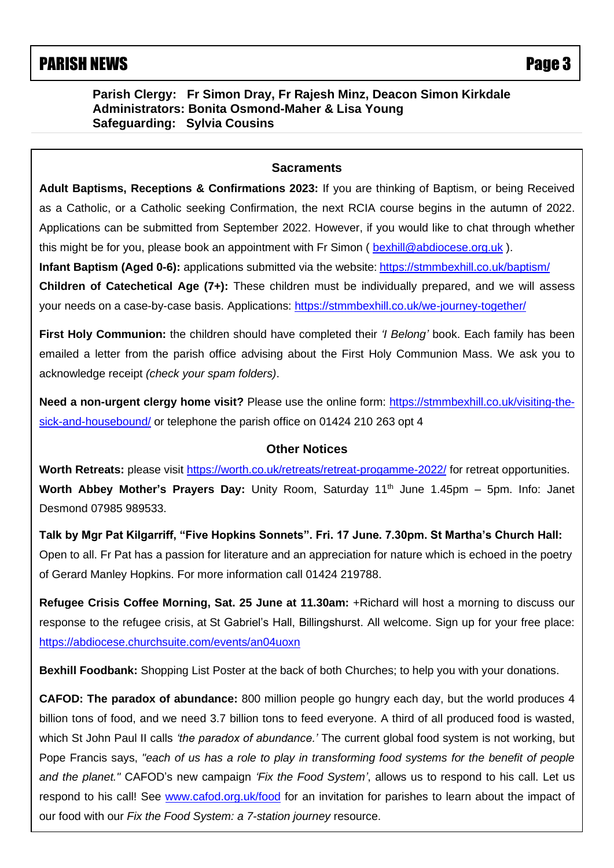# PARISH NEWS **PARISH NEWS**

**Parish Clergy: Fr Simon Dray, Fr Rajesh Minz, Deacon Simon Kirkdale Administrators: Bonita Osmond-Maher & Lisa Young Safeguarding: Sylvia Cousins**

#### **Sacraments**

 as a Catholic, or a Catholic seeking Confirmation, the next RCIA course begins in the autumn of 2022. **Adult Baptisms, Receptions & Confirmations 2023:** If you are thinking of Baptism, or being Received Applications can be submitted from September 2022. However, if you would like to chat through whether this might be for you, please book an appointment with Fr Simon ( [bexhill@abdiocese.org.uk](mailto:bexhill@abdiocese.org.uk) ).

**Infant Baptism (Aged 0-6):** applications submitted via the website: <https://stmmbexhill.co.uk/baptism/>

**Children of Catechetical Age (7+):** These children must be individually prepared, and we will assess your needs on a case-by-case basis. Applications:<https://stmmbexhill.co.uk/we-journey-together/>

**First Holy Communion:** the children should have completed their *'I Belong'* book. Each family has been emailed a letter from the parish office advising about the First Holy Communion Mass. We ask you to acknowledge receipt *(check your spam folders)*.

**Need a non-urgent clergy home visit?** Please use the online form: [https://stmmbexhill.co.uk/visiting-the](https://stmmbexhill.co.uk/visiting-the-sick-and-housebound/)[sick-and-housebound/](https://stmmbexhill.co.uk/visiting-the-sick-and-housebound/) or telephone the parish office on 01424 210 263 opt 4

#### **Other Notices**

**Worth Retreats:** please visit<https://worth.co.uk/retreats/retreat-progamme-2022/> for retreat opportunities. **Worth Abbey Mother's Prayers Day:** Unity Room, Saturday 11<sup>th</sup> June 1.45pm – 5pm. Info: Janet Desmond 07985 989533.

**Talk by Mgr Pat Kilgarriff, "Five Hopkins Sonnets". Fri. 17 June. 7.30pm. St Martha's Church Hall:** Open to all. Fr Pat has a passion for literature and an appreciation for nature which is echoed in the poetry of Gerard Manley Hopkins. For more information call 01424 219788.

**Refugee Crisis Coffee Morning, Sat. 25 June at 11.30am:** +Richard will host a morning to discuss our response to the refugee crisis, at St Gabriel's Hall, Billingshurst. All welcome. Sign up for your free place: <https://abdiocese.churchsuite.com/events/an04uoxn>

**Bexhill Foodbank:** Shopping List Poster at the back of both Churches; to help you with your donations.

**CAFOD: The paradox of abundance:** 800 million people go hungry each day, but the world produces 4 billion tons of food, and we need 3.7 billion tons to feed everyone. A third of all produced food is wasted, which St John Paul II calls *'the paradox of abundance.'* The current global food system is not working, but Pope Francis says, *"each of us has a role to play in transforming food systems for the benefit of people and the planet."* CAFOD's new campaign *'Fix the Food System'*, allows us to respond to his call. Let us respond to his call! See [www.cafod.org.uk/food](https://eur02.safelinks.protection.outlook.com/?url=http%3A%2F%2Fwww.cafod.org.uk%2Ffood&data=05%7C01%7Cbexhill%40abdiocese.org.uk%7C6be6b5a54e8c4b4bc8b508da327c18f2%7C2bf5dbc217ef4efca1c9ab2dc4edefd0%7C0%7C0%7C637877805824442840%7CUnknown%7CTWFpbGZsb3d8eyJWIjoiMC4wLjAwMDAiLCJQIjoiV2luMzIiLCJBTiI6Ik1haWwiLCJXVCI6Mn0%3D%7C3000%7C%7C%7C&sdata=8Rky4y2lcBaPuozVOd3FDfQLJV0RB7JDYGaB8Vf%2Bs5g%3D&reserved=0) for an invitation for parishes to learn about the impact of our food with our *Fix the Food System: a 7-station journey* resource.